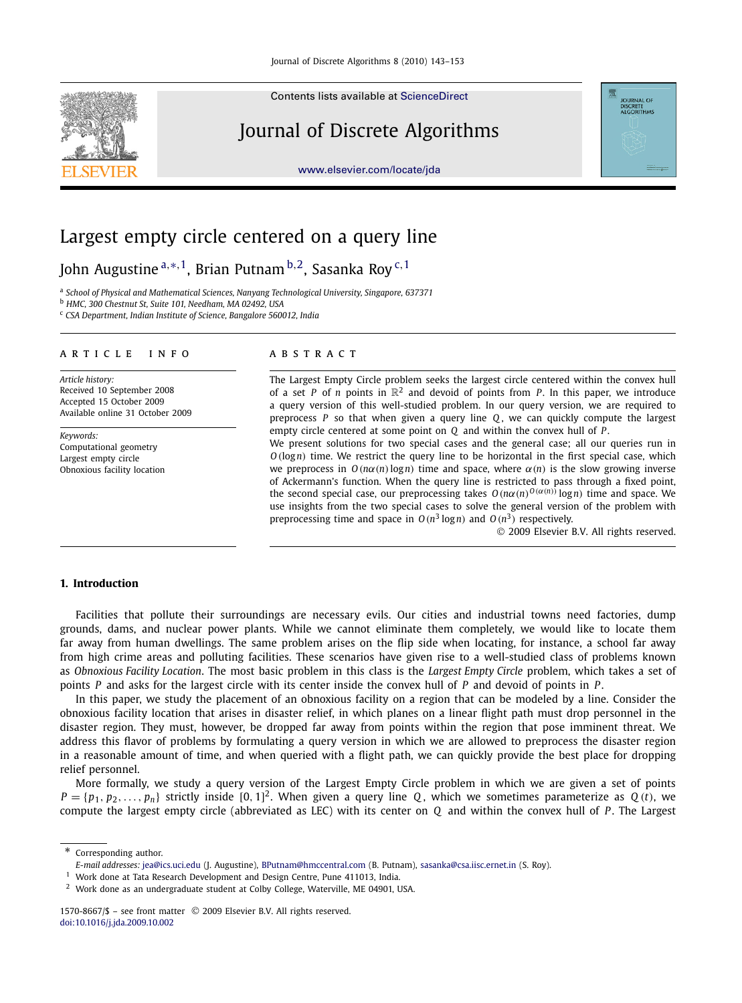Contents lists available at [ScienceDirect](http://www.ScienceDirect.com/)

# Journal of Discrete Algorithms

[www.elsevier.com/locate/jda](http://www.elsevier.com/locate/jda)



# Largest empty circle centered on a query line

John Augustine <sup>a,</sup>\*<sup>, 1</sup>, Brian Putnam <sup>b, 2</sup>, Sasanka Roy <sup>c, 1</sup>

a *School of Physical and Mathematical Sciences, Nanyang Technological University, Singapore, 637371*

<sup>b</sup> *HMC, 300 Chestnut St, Suite 101, Needham, MA 02492, USA*

<sup>c</sup> *CSA Department, Indian Institute of Science, Bangalore 560012, India*

### article info abstract

*Article history:* Received 10 September 2008 Accepted 15 October 2009 Available online 31 October 2009

*Keywords:* Computational geometry Largest empty circle Obnoxious facility location

The Largest Empty Circle problem seeks the largest circle centered within the convex hull of a set *P* of *n* points in  $\mathbb{R}^2$  and devoid of points from *P*. In this paper, we introduce a query version of this well-studied problem. In our query version, we are required to preprocess *P* so that when given a query line *Q* , we can quickly compute the largest empty circle centered at some point on *Q* and within the convex hull of *P*.

We present solutions for two special cases and the general case; all our queries run in *O*(log*n*) time. We restrict the query line to be horizontal in the first special case, which we preprocess in  $O(n\alpha(n)\log n)$  time and space, where  $\alpha(n)$  is the slow growing inverse of Ackermann's function. When the query line is restricted to pass through a fixed point, the second special case, our preprocessing takes  $O(n\alpha(n)^{O(\alpha(n))}\log n)$  time and space. We use insights from the two special cases to solve the general version of the problem with preprocessing time and space in  $O(n^3 \log n)$  and  $O(n^3)$  respectively.

2009 Elsevier B.V. All rights reserved.

# **1. Introduction**

Facilities that pollute their surroundings are necessary evils. Our cities and industrial towns need factories, dump grounds, dams, and nuclear power plants. While we cannot eliminate them completely, we would like to locate them far away from human dwellings. The same problem arises on the flip side when locating, for instance, a school far away from high crime areas and polluting facilities. These scenarios have given rise to a well-studied class of problems known as *Obnoxious Facility Location*. The most basic problem in this class is the *Largest Empty Circle* problem, which takes a set of points *P* and asks for the largest circle with its center inside the convex hull of *P* and devoid of points in *P* .

In this paper, we study the placement of an obnoxious facility on a region that can be modeled by a line. Consider the obnoxious facility location that arises in disaster relief, in which planes on a linear flight path must drop personnel in the disaster region. They must, however, be dropped far away from points within the region that pose imminent threat. We address this flavor of problems by formulating a query version in which we are allowed to preprocess the disaster region in a reasonable amount of time, and when queried with a flight path, we can quickly provide the best place for dropping relief personnel.

More formally, we study a query version of the Largest Empty Circle problem in which we are given a set of points  $P = \{p_1, p_2, \ldots, p_n\}$  strictly inside [0, 1]<sup>2</sup>. When given a query line *Q*, which we sometimes parameterize as *Q* (*t*), we compute the largest empty circle (abbreviated as LEC) with its center on *Q* and within the convex hull of *P* . The Largest

\* Corresponding author.

*E-mail addresses:* [jea@ics.uci.edu](mailto:jea@ics.uci.edu) (J. Augustine), [BPutnam@hmccentral.com](mailto:BPutnam@hmccentral.com) (B. Putnam), [sasanka@csa.iisc.ernet.in](mailto:sasanka@csa.iisc.ernet.in) (S. Roy).

<sup>&</sup>lt;sup>1</sup> Work done at Tata Research Development and Design Centre, Pune 411013, India.

<sup>2</sup> Work done as an undergraduate student at Colby College, Waterville, ME 04901, USA.

<sup>1570-8667/\$ -</sup> see front matter © 2009 Elsevier B.V. All rights reserved. [doi:10.1016/j.jda.2009.10.002](http://dx.doi.org/10.1016/j.jda.2009.10.002)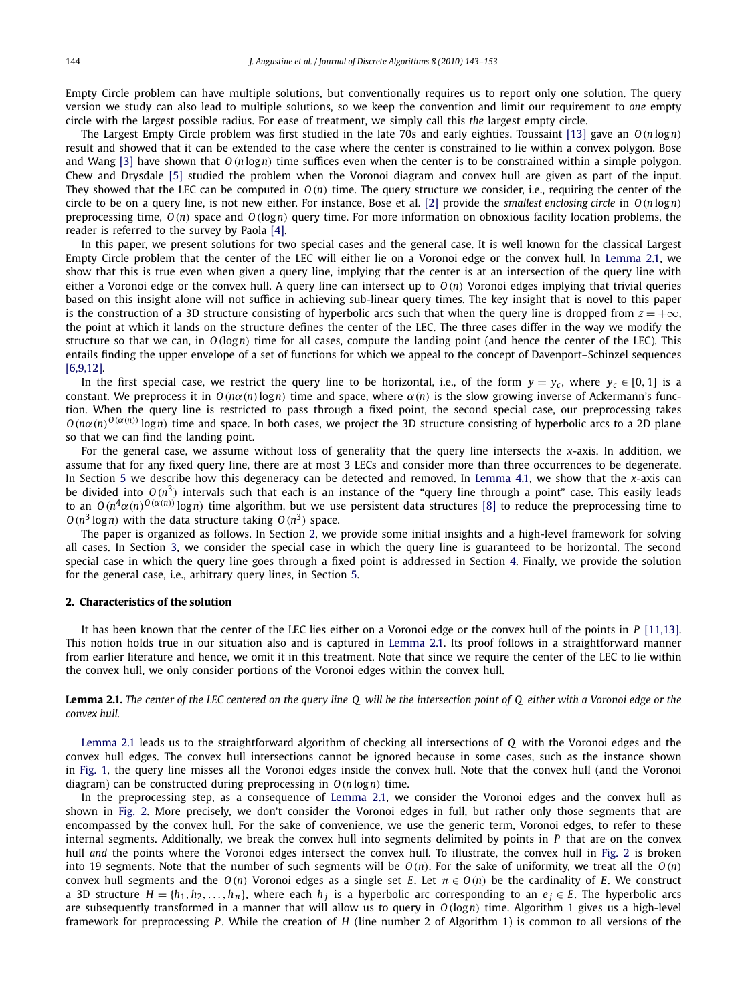<span id="page-1-0"></span>Empty Circle problem can have multiple solutions, but conventionally requires us to report only one solution. The query version we study can also lead to multiple solutions, so we keep the convention and limit our requirement to *one* empty circle with the largest possible radius. For ease of treatment, we simply call this *the* largest empty circle.

The Largest Empty Circle problem was first studied in the late 70s and early eighties. Toussaint [\[13\]](#page-10-0) gave an *O*(*n* log*n*) result and showed that it can be extended to the case where the center is constrained to lie within a convex polygon. Bose and Wang [\[3\]](#page-10-0) have shown that *O*(*n* log*n*) time suffices even when the center is to be constrained within a simple polygon. Chew and Drysdale [\[5\]](#page-10-0) studied the problem when the Voronoi diagram and convex hull are given as part of the input. They showed that the LEC can be computed in *O*(*n*) time. The query structure we consider, i.e., requiring the center of the circle to be on a query line, is not new either. For instance, Bose et al. [\[2\]](#page-10-0) provide the *smallest enclosing circle* in *O*(*n* log*n*) preprocessing time, *O*(*n*) space and *O*(log*n*) query time. For more information on obnoxious facility location problems, the reader is referred to the survey by Paola [\[4\].](#page-10-0)

In this paper, we present solutions for two special cases and the general case. It is well known for the classical Largest Empty Circle problem that the center of the LEC will either lie on a Voronoi edge or the convex hull. In Lemma 2.1, we show that this is true even when given a query line, implying that the center is at an intersection of the query line with either a Voronoi edge or the convex hull. A query line can intersect up to  $O(n)$  Voronoi edges implying that trivial queries based on this insight alone will not suffice in achieving sub-linear query times. The key insight that is novel to this paper is the construction of a 3D structure consisting of hyperbolic arcs such that when the query line is dropped from  $z = +\infty$ , the point at which it lands on the structure defines the center of the LEC. The three cases differ in the way we modify the structure so that we can, in *O*(log*n*) time for all cases, compute the landing point (and hence the center of the LEC). This entails finding the upper envelope of a set of functions for which we appeal to the concept of Davenport–Schinzel sequences [\[6,9,12\].](#page-10-0)

In the first special case, we restrict the query line to be horizontal, i.e., of the form  $y = y_c$ , where  $y_c \in [0, 1]$  is a constant. We preprocess it in  $O(n\alpha(n)\log n)$  time and space, where  $\alpha(n)$  is the slow growing inverse of Ackermann's function. When the query line is restricted to pass through a fixed point, the second special case, our preprocessing takes  $O(n\alpha(n)^{O(\alpha(n))} \log n)$  time and space. In both cases, we project the 3D structure consisting of hyperbolic arcs to a 2D plane so that we can find the landing point.

For the general case, we assume without loss of generality that the query line intersects the *x*-axis. In addition, we assume that for any fixed query line, there are at most 3 LECs and consider more than three occurrences to be degenerate. In Section [5](#page-6-0) we describe how this degeneracy can be detected and removed. In [Lemma 4.1,](#page-5-0) we show that the *x*-axis can be divided into  $O(n^3)$  intervals such that each is an instance of the "query line through a point" case. This easily leads to an  $O(n^4\alpha(n)^{O(\alpha(n))}\log n)$  time algorithm, but we use persistent data structures [\[8\]](#page-10-0) to reduce the preprocessing time to  $O(n^3 \log n)$  with the data structure taking  $O(n^3)$  space.

The paper is organized as follows. In Section 2, we provide some initial insights and a high-level framework for solving all cases. In Section [3,](#page-3-0) we consider the special case in which the query line is guaranteed to be horizontal. The second special case in which the query line goes through a fixed point is addressed in Section [4.](#page-4-0) Finally, we provide the solution for the general case, i.e., arbitrary query lines, in Section [5.](#page-6-0)

# **2. Characteristics of the solution**

It has been known that the center of the LEC lies either on a Voronoi edge or the convex hull of the points in *P* [\[11,13\].](#page-10-0) This notion holds true in our situation also and is captured in Lemma 2.1. Its proof follows in a straightforward manner from earlier literature and hence, we omit it in this treatment. Note that since we require the center of the LEC to lie within the convex hull, we only consider portions of the Voronoi edges within the convex hull.

**Lemma 2.1.** *The center of the LEC centered on the query line Q will be the intersection point of Q either with a Voronoi edge or the convex hull.*

Lemma 2.1 leads us to the straightforward algorithm of checking all intersections of *Q* with the Voronoi edges and the convex hull edges. The convex hull intersections cannot be ignored because in some cases, such as the instance shown in [Fig. 1,](#page-2-0) the query line misses all the Voronoi edges inside the convex hull. Note that the convex hull (and the Voronoi diagram) can be constructed during preprocessing in *O*(*n* log*n*) time.

In the preprocessing step, as a consequence of Lemma 2.1, we consider the Voronoi edges and the convex hull as shown in [Fig. 2.](#page-2-0) More precisely, we don't consider the Voronoi edges in full, but rather only those segments that are encompassed by the convex hull. For the sake of convenience, we use the generic term, Voronoi edges, to refer to these internal segments. Additionally, we break the convex hull into segments delimited by points in *P* that are on the convex hull *and* the points where the Voronoi edges intersect the convex hull. To illustrate, the convex hull in [Fig. 2](#page-2-0) is broken into 19 segments. Note that the number of such segments will be  $O(n)$ . For the sake of uniformity, we treat all the  $O(n)$ convex hull segments and the  $O(n)$  Voronoi edges as a single set *E*. Let  $n \in O(n)$  be the cardinality of *E*. We construct a 3D structure  $H = \{h_1, h_2, \ldots, h_n\}$ , where each  $h_j$  is a hyperbolic arc corresponding to an  $e_j \in E$ . The hyperbolic arcs are subsequently transformed in a manner that will allow us to query in *O*(log*n*) time. Algorithm 1 gives us a high-level framework for preprocessing *P* . While the creation of *H* (line number 2 of Algorithm 1) is common to all versions of the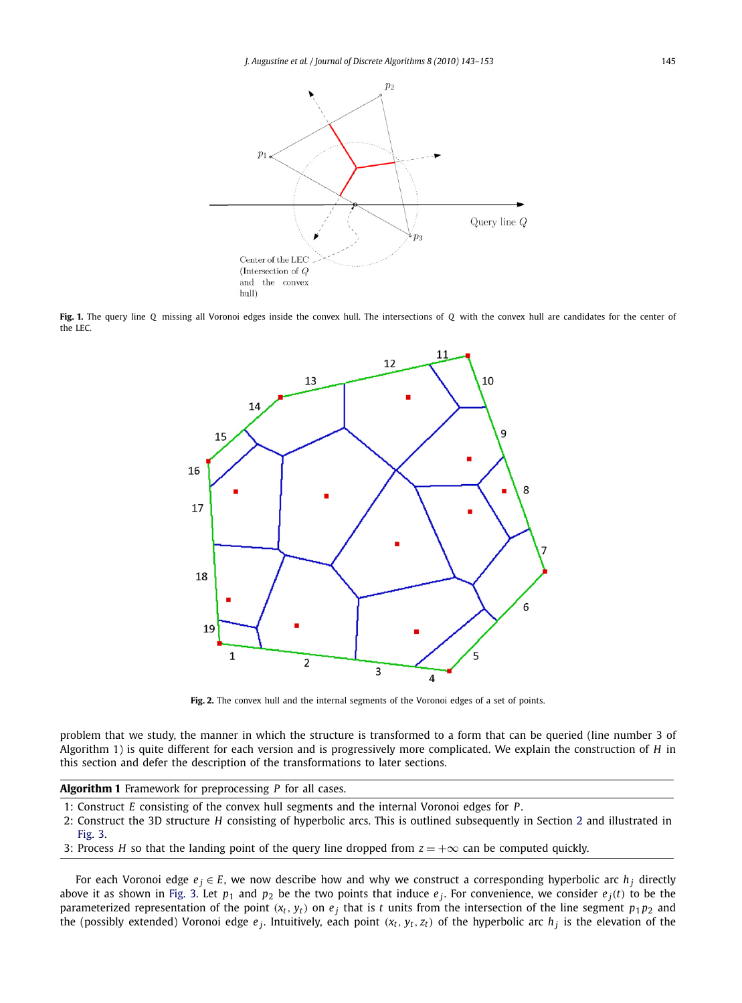<span id="page-2-0"></span>

**Fig. 1.** The query line *Q* missing all Voronoi edges inside the convex hull. The intersections of *Q* with the convex hull are candidates for the center of the LEC.



Fig. 2. The convex hull and the internal segments of the Voronoi edges of a set of points.

problem that we study, the manner in which the structure is transformed to a form that can be queried (line number 3 of Algorithm 1) is quite different for each version and is progressively more complicated. We explain the construction of *H* in this section and defer the description of the transformations to later sections.

**Algorithm 1** Framework for preprocessing *P* for all cases.

- 1: Construct *E* consisting of the convex hull segments and the internal Voronoi edges for *P*.
- 2: Construct the 3D structure *H* consisting of hyperbolic arcs. This is outlined subsequently in Section [2](#page-1-0) and illustrated in [Fig. 3.](#page-3-0)
- 3: Process *H* so that the landing point of the query line dropped from  $z = +\infty$  can be computed quickly.

For each Voronoi edge  $e_j \in E$ , we now describe how and why we construct a corresponding hyperbolic arc  $h_j$  directly above it as shown in [Fig. 3.](#page-3-0) Let  $p_1$  and  $p_2$  be the two points that induce  $e_j$ . For convenience, we consider  $e_j(t)$  to be the parameterized representation of the point  $(x_t, y_t)$  on  $e_j$  that is *t* units from the intersection of the line segment  $p_1 p_2$  and the (possibly extended) Voronoi edge  $e_j$ . Intuitively, each point  $(x_t, y_t, z_t)$  of the hyperbolic arc  $h_j$  is the elevation of the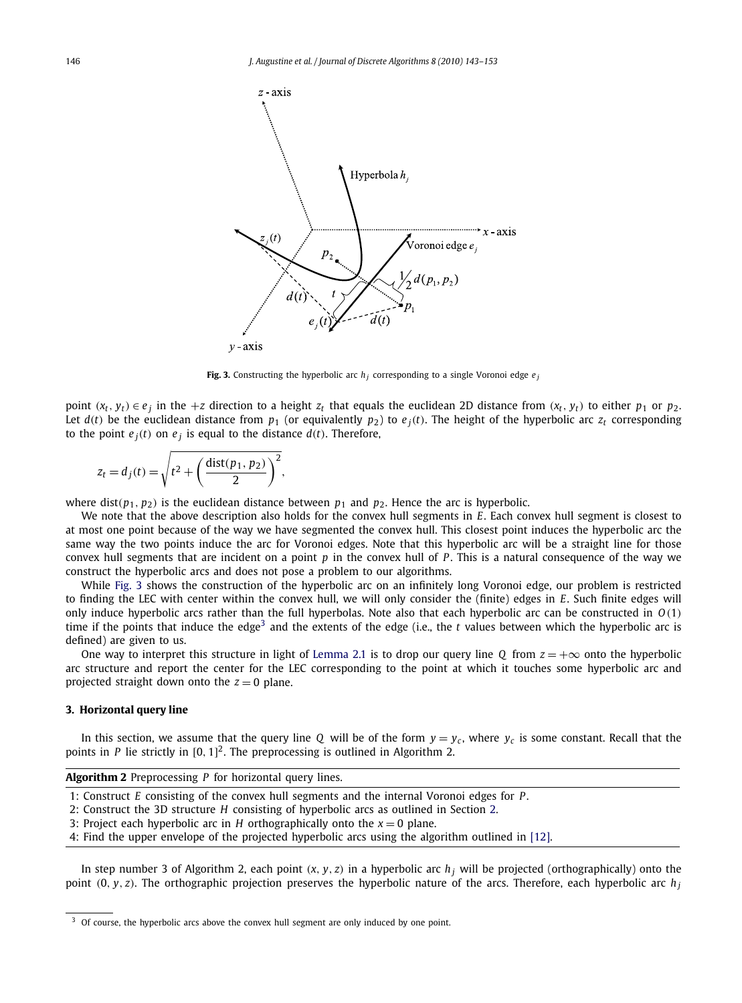<span id="page-3-0"></span>

**Fig. 3.** Constructing the hyperbolic arc  $h_i$  corresponding to a single Voronoi edge  $e_i$ 

point  $(x_t, y_t) \in e_j$  in the +z direction to a height  $z_t$  that equals the euclidean 2D distance from  $(x_t, y_t)$  to either  $p_1$  or  $p_2$ . Let  $d(t)$  be the euclidean distance from  $p_1$  (or equivalently  $p_2$ ) to  $e_i(t)$ . The height of the hyperbolic arc  $z_t$  corresponding to the point  $e_j(t)$  on  $e_j$  is equal to the distance  $d(t)$ . Therefore,

$$
z_t = d_j(t) = \sqrt{t^2 + \left(\frac{\text{dist}(p_1, p_2)}{2}\right)^2},
$$

where dist( $p_1, p_2$ ) is the euclidean distance between  $p_1$  and  $p_2$ . Hence the arc is hyperbolic.

We note that the above description also holds for the convex hull segments in *E*. Each convex hull segment is closest to at most one point because of the way we have segmented the convex hull. This closest point induces the hyperbolic arc the same way the two points induce the arc for Voronoi edges. Note that this hyperbolic arc will be a straight line for those convex hull segments that are incident on a point *p* in the convex hull of *P* . This is a natural consequence of the way we construct the hyperbolic arcs and does not pose a problem to our algorithms.

While Fig. 3 shows the construction of the hyperbolic arc on an infinitely long Voronoi edge, our problem is restricted to finding the LEC with center within the convex hull, we will only consider the (finite) edges in *E*. Such finite edges will only induce hyperbolic arcs rather than the full hyperbolas. Note also that each hyperbolic arc can be constructed in *O*(1) time if the points that induce the edge<sup>3</sup> and the extents of the edge (i.e., the *t* values between which the hyperbolic arc is defined) are given to us.

One way to interpret this structure in light of [Lemma 2.1](#page-1-0) is to drop our query line *Q* from  $z = +\infty$  onto the hyperbolic arc structure and report the center for the LEC corresponding to the point at which it touches some hyperbolic arc and projected straight down onto the  $z = 0$  plane.

# **3. Horizontal query line**

In this section, we assume that the query line *Q* will be of the form  $y = y_c$ , where  $y_c$  is some constant. Recall that the points in  $P$  lie strictly in  $[0, 1]^2$ . The preprocessing is outlined in Algorithm 2.

| <b>Algorithm 2</b> Preprocessing $P$ for horizontal query lines. |  |  |  |  |  |
|------------------------------------------------------------------|--|--|--|--|--|
|------------------------------------------------------------------|--|--|--|--|--|

- 1: Construct *E* consisting of the convex hull segments and the internal Voronoi edges for *P*.
- 2: Construct the 3D structure *H* consisting of hyperbolic arcs as outlined in Section [2.](#page-1-0)
- 3: Project each hyperbolic arc in *H* orthographically onto the  $x = 0$  plane.
- 4: Find the upper envelope of the projected hyperbolic arcs using the algorithm outlined in [\[12\].](#page-10-0)

In step number 3 of Algorithm 2, each point  $(x, y, z)$  in a hyperbolic arc  $h_j$  will be projected (orthographically) onto the point  $(0, y, z)$ . The orthographic projection preserves the hyperbolic nature of the arcs. Therefore, each hyperbolic arc  $h_i$ 

<sup>&</sup>lt;sup>3</sup> Of course, the hyperbolic arcs above the convex hull segment are only induced by one point.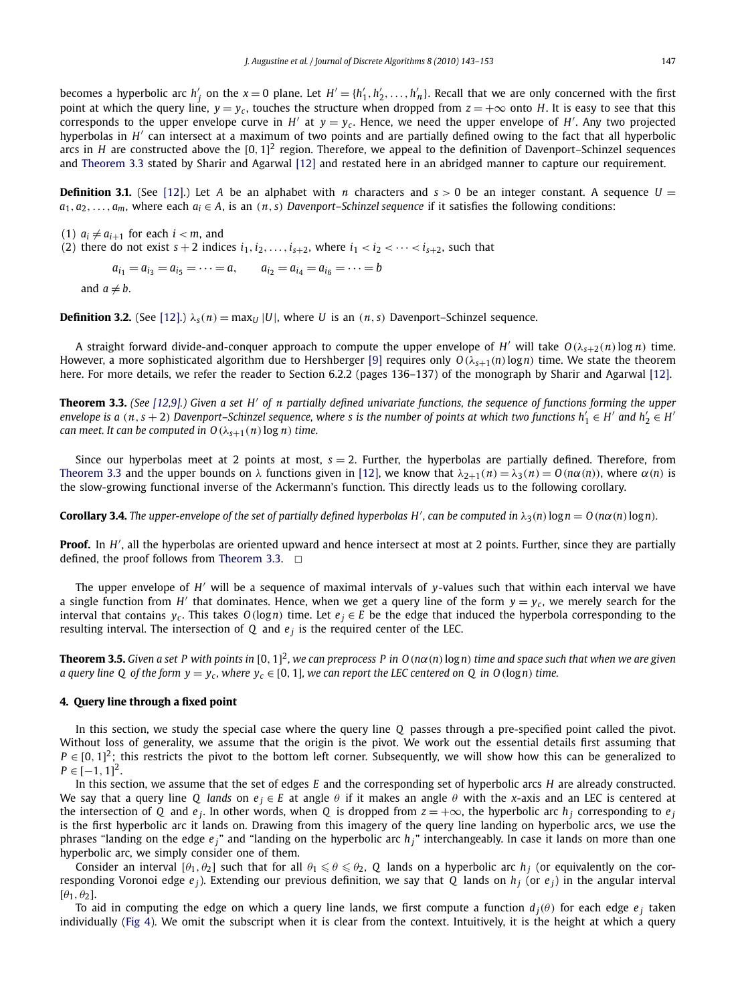<span id="page-4-0"></span>becomes a hyperbolic arc  $h'_j$  on the  $x = 0$  plane. Let  $H' = \{h'_1, h'_2, \ldots, h'_n\}$ . Recall that we are only concerned with the first point at which the query line,  $y = y_c$ , touches the structure when dropped from  $z = +\infty$  onto *H*. It is easy to see that this corresponds to the upper envelope curve in  $H'$  at  $y = y_c$ . Hence, we need the upper envelope of  $H'$ . Any two projected hyperbolas in *H'* can intersect at a maximum of two points and are partially defined owing to the fact that all hyperbolic arcs in *H* are constructed above the  $[0, 1]^2$  region. Therefore, we appeal to the definition of Davenport–Schinzel sequences and Theorem 3.3 stated by Sharir and Agarwal [\[12\]](#page-10-0) and restated here in an abridged manner to capture our requirement.

**Definition 3.1.** (See [\[12\].](#page-10-0)) Let *A* be an alphabet with *n* characters and  $s > 0$  be an integer constant. A sequence  $U =$  $a_1, a_2, \ldots, a_m$ , where each  $a_i \in A$ , is an  $(n, s)$  *Davenport–Schinzel sequence* if it satisfies the following conditions:

 $(1)$   $a_i \neq a_{i+1}$  for each  $i < m$ , and (2) there do not exist  $s + 2$  indices  $i_1, i_2, \ldots, i_{s+2}$ , where  $i_1 < i_2 < \cdots < i_{s+2}$ , such that  $a_{i_1} = a_{i_3} = a_{i_5} = \cdots = a,$   $a_{i_2} = a_{i_4} = a_{i_6} = \cdots = b$ and  $a \neq b$ .

**Definition 3.2.** (See [\[12\].](#page-10-0))  $\lambda_s(n) = \max_{U} |U|$ , where *U* is an  $(n, s)$  Davenport–Schinzel sequence.

A straight forward divide-and-conquer approach to compute the upper envelope of *H* ′ will take *<sup>O</sup>*(λ*s*+2(*n*)log *n*) time. However, a more sophisticated algorithm due to Hershberger [\[9\]](#page-10-0) requires only  $O(\lambda_{s+1}(n) \log n)$  time. We state the theorem here. For more details, we refer the reader to Section 6.2.2 (pages 136–137) of the monograph by Sharir and Agarwal [\[12\].](#page-10-0)

**Theorem 3.3.** *(See [\[12,9\].](#page-10-0)) Given a set H' of n partially defined univariate functions, the sequence of functions forming the upper*  $e$  *envelope is a*  $(n, s + 2)$  *Davenport–Schinzel sequence, where s is the number of points at which two functions*  $h'_1 \in H'$  *and*  $h'_2 \in H'$ *can meet. It can be computed in*  $O(\lambda_{s+1}(n) \log n)$  *time.* 

Since our hyperbolas meet at 2 points at most, *s* = 2. Further, the hyperbolas are partially defined. Therefore, from Theorem 3.3 and the upper bounds on  $\lambda$  functions given in [\[12\],](#page-10-0) we know that  $\lambda_{2+1}(n) = \lambda_3(n) = O(n\alpha(n))$ , where  $\alpha(n)$  is the slow-growing functional inverse of the Ackermann's function. This directly leads us to the following corollary.

**Corollary 3.4.** The upper-envelope of the set of partially defined hyperbolas H', can be computed in  $\lambda_3(n) \log n = O(n\alpha(n) \log n)$ .

**Proof.** In H', all the hyperbolas are oriented upward and hence intersect at most at 2 points. Further, since they are partially defined, the proof follows from Theorem 3.3.  $\Box$ 

The upper envelope of *H'* will be a sequence of maximal intervals of *y*-values such that within each interval we have a single function from H' that dominates. Hence, when we get a query line of the form  $y = y_c$ , we merely search for the interval that contains  $y_c$ . This takes  $O(logn)$  time. Let  $e_j \in E$  be the edge that induced the hyperbola corresponding to the resulting interval. The intersection of *Q* and *e <sup>j</sup>* is the required center of the LEC.

**Theorem 3.5.** *Given a set P with points in* [0, 1] 2 *, we can preprocess P in O*(*n*α(*n*)log*n*) *time and space such that when we are given a query line Q of the form*  $y = y_c$ *, where*  $y_c \in [0, 1]$ *, we can report the LEC centered on Q in O*(log*n*) *time.* 

# **4. Query line through a fixed point**

In this section, we study the special case where the query line *Q* passes through a pre-specified point called the pivot. Without loss of generality, we assume that the origin is the pivot. We work out the essential details first assuming that  $P \in [0, 1]^2$ ; this restricts the pivot to the bottom left corner. Subsequently, we will show how this can be generalized to  $P \in [-1, 1]^2$ .

In this section, we assume that the set of edges *E* and the corresponding set of hyperbolic arcs *H* are already constructed. We say that a query line *Q* lands on  $e_i \in E$  at angle  $\theta$  if it makes an angle  $\theta$  with the *x*-axis and an LEC is centered at the intersection of *Q* and  $e_j$ . In other words, when *Q* is dropped from  $z = +\infty$ , the hyperbolic arc  $h_j$  corresponding to  $e_j$ is the first hyperbolic arc it lands on. Drawing from this imagery of the query line landing on hyperbolic arcs, we use the phrases "landing on the edge  $e_j$ " and "landing on the hyperbolic arc  $h_j$ " interchangeably. In case it lands on more than one hyperbolic arc, we simply consider one of them.

Consider an interval  $[\theta_1, \theta_2]$  such that for all  $\theta_1 \leqslant \theta \leqslant \theta_2$ , Q lands on a hyperbolic arc  $h_j$  (or equivalently on the corresponding Voronoi edge  $e_j$ ). Extending our previous definition, we say that *Q* lands on  $h_j$  (or  $e_j$ ) in the angular interval  $[\theta_1, \theta_2]$ .

To aid in computing the edge on which a query line lands, we first compute a function  $d_i(\theta)$  for each edge  $e_i$  taken individually [\(Fig 4\)](#page-5-0). We omit the subscript when it is clear from the context. Intuitively, it is the height at which a query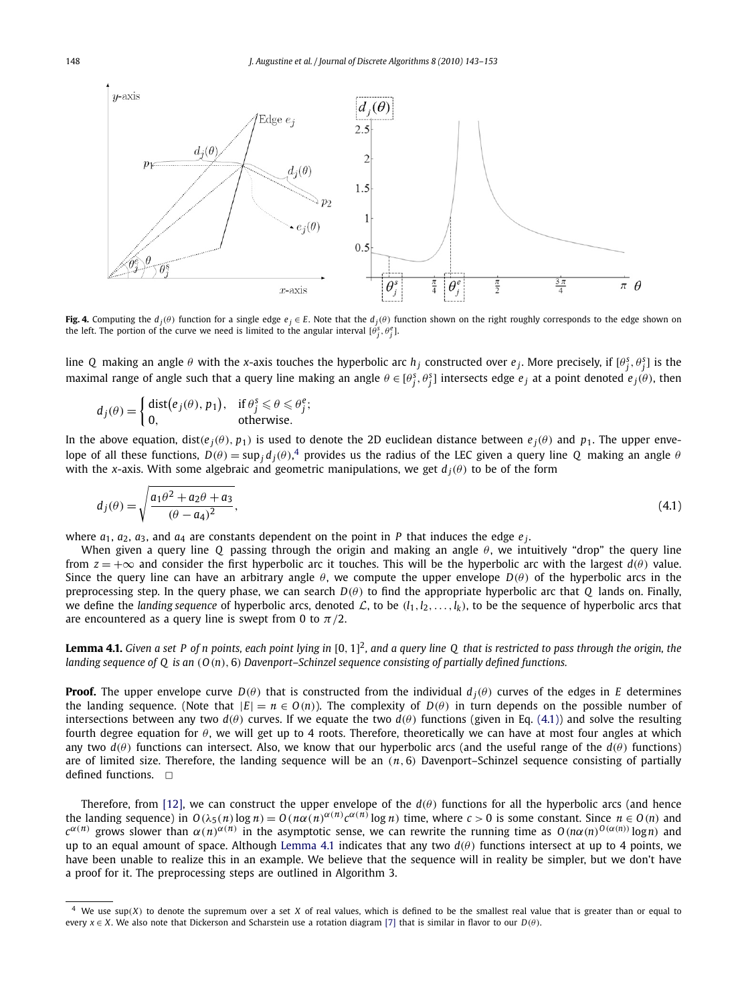<span id="page-5-0"></span>

**Fig. 4.** Computing the  $d_i(\theta)$  function for a single edge  $e_j \in E$ . Note that the  $d_i(\theta)$  function shown on the right roughly corresponds to the edge shown on the left. The portion of the curve we need is limited to the angular interval  $[\theta_j^s, \theta_j^e]$ .

line Q making an angle  $\theta$  with the *x*-axis touches the hyperbolic arc  $h_j$  constructed over  $e_j$ . More precisely, if  $[\theta_j^s, \theta_j^s]$  is the maximal range of angle such that a query line making an angle  $\theta \in [\theta_j^s, \theta_j^s]$  intersects edge  $e_j$  at a point denoted  $e_j(\theta)$ , then

$$
d_j(\theta) = \begin{cases} \text{dist}(e_j(\theta), p_1), & \text{if } \theta_j^s \leq \theta \leq \theta_j^e; \\ 0, & \text{otherwise.} \end{cases}
$$

In the above equation, dist( $e_j(\theta)$ ,  $p_1$ ) is used to denote the 2D euclidean distance between  $e_j(\theta)$  and  $p_1$ . The upper envelope of all these functions,  $D(\theta) = \sup_j d_j(\theta)$ , provides us the radius of the LEC given a query line *Q* making an angle  $\theta$ with the *x*-axis. With some algebraic and geometric manipulations, we get  $d_i(\theta)$  to be of the form

$$
d_j(\theta) = \sqrt{\frac{a_1 \theta^2 + a_2 \theta + a_3}{(\theta - a_4)^2}},
$$
\n(4.1)

where  $a_1$ ,  $a_2$ ,  $a_3$ , and  $a_4$  are constants dependent on the point in *P* that induces the edge  $e_j$ .

When given a query line *Q* passing through the origin and making an angle  $\theta$ , we intuitively "drop" the query line from  $z = +\infty$  and consider the first hyperbolic arc it touches. This will be the hyperbolic arc with the largest  $d(\theta)$  value. Since the query line can have an arbitrary angle  $\theta$ , we compute the upper envelope  $D(\theta)$  of the hyperbolic arcs in the preprocessing step. In the query phase, we can search  $D(\theta)$  to find the appropriate hyperbolic arc that *Q* lands on. Finally, we define the *landing sequence* of hyperbolic arcs, denoted L, to be  $(l_1, l_2, \ldots, l_k)$ , to be the sequence of hyperbolic arcs that are encountered as a query line is swept from 0 to  $\pi/2$ .

Lemma 4.1. Given a set P of n points, each point lying in [0, 1]<sup>2</sup>, and a query line Q that is restricted to pass through the origin, the *landing sequence of Q is an* (*O*(*n*), 6) *Davenport–Schinzel sequence consisting of partially defined functions.*

**Proof.** The upper envelope curve  $D(\theta)$  that is constructed from the individual  $d_i(\theta)$  curves of the edges in *E* determines the landing sequence. (Note that  $|E| = n \in O(n)$ ). The complexity of  $D(\theta)$  in turn depends on the possible number of intersections between any two  $d(\theta)$  curves. If we equate the two  $d(\theta)$  functions (given in Eq. (4.1)) and solve the resulting fourth degree equation for  $\theta$ , we will get up to 4 roots. Therefore, theoretically we can have at most four angles at which any two  $d(\theta)$  functions can intersect. Also, we know that our hyperbolic arcs (and the useful range of the  $d(\theta)$  functions) are of limited size. Therefore, the landing sequence will be an  $(n, 6)$  Davenport–Schinzel sequence consisting of partially defined functions.  $\square$ 

Therefore, from [\[12\],](#page-10-0) we can construct the upper envelope of the  $d(\theta)$  functions for all the hyperbolic arcs (and hence the landing sequence) in  $O(\lambda_5(n) \log n) = O(n\alpha(n)^{\alpha(n)}c^{\alpha(n)}\log n)$  time, where  $c > 0$  is some constant. Since  $n \in O(n)$  and the landing sequence) in  $O(\lambda_5(n) \log n) = O(n\alpha(n^{\alpha(n)}c^{\alpha(n)}\log n)$  time, where  $c > 0$  is some constant. Since  $n$ *c*<sup>α(*n*)</sup> grows slower than  $α(n)^{α(n)}$  in the asymptotic sense, we can rewrite the running time as  $O(nα(n)^{O(α(n))} \log n)$  and  $c^{α(n)}$ up to an equal amount of space. Although Lemma 4.1 indicates that any two  $d(\theta)$  functions intersect at up to 4 points, we have been unable to realize this in an example. We believe that the sequence will in reality be simpler, but we don't have a proof for it. The preprocessing steps are outlined in Algorithm 3.

We use  $sup(X)$  to denote the supremum over a set  $X$  of real values, which is defined to be the smallest real value that is greater than or equal to every  $x \in X$ . We also note that Dickerson and Scharstein use a rotation diagram [\[7\]](#page-10-0) that is similar in flavor to our  $D(\theta)$ .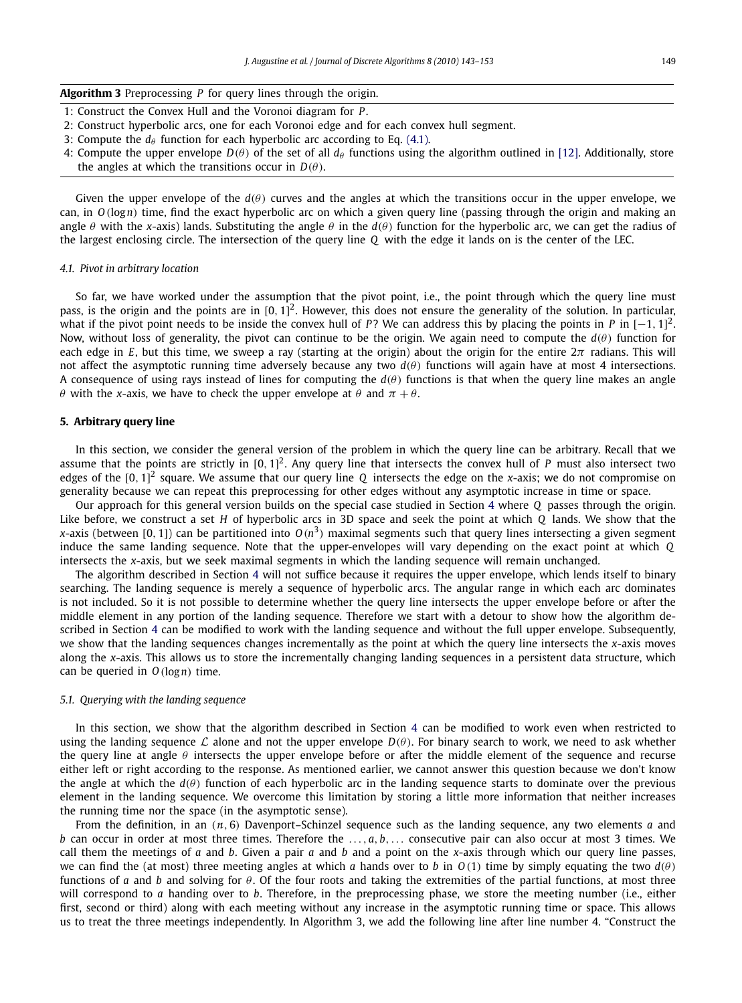<span id="page-6-0"></span>

| <b>Algorithm 3</b> Preprocessing $P$ for query lines through the origin. |  |  |  |  |  |  |
|--------------------------------------------------------------------------|--|--|--|--|--|--|
|--------------------------------------------------------------------------|--|--|--|--|--|--|

- 1: Construct the Convex Hull and the Voronoi diagram for *P*.
- 2: Construct hyperbolic arcs, one for each Voronoi edge and for each convex hull segment.
- 3: Compute the  $d_{\theta}$  function for each hyperbolic arc according to Eq. [\(4.1\).](#page-5-0)
- 4: Compute the upper envelope  $D(\theta)$  of the set of all  $d_\theta$  functions using the algorithm outlined in [\[12\].](#page-10-0) Additionally, store the angles at which the transitions occur in  $D(\theta)$ .

Given the upper envelope of the  $d(\theta)$  curves and the angles at which the transitions occur in the upper envelope, we can, in *O*(log*n*) time, find the exact hyperbolic arc on which a given query line (passing through the origin and making an angle  $\theta$  with the *x*-axis) lands. Substituting the angle  $\theta$  in the  $d(\theta)$  function for the hyperbolic arc, we can get the radius of the largest enclosing circle. The intersection of the query line *Q* with the edge it lands on is the center of the LEC.

#### *4.1. Pivot in arbitrary location*

So far, we have worked under the assumption that the pivot point, i.e., the point through which the query line must pass, is the origin and the points are in [0, 1]<sup>2</sup>. However, this does not ensure the generality of the solution. In particular, what if the pivot point needs to be inside the convex hull of *P*? We can address this by placing the points in *P* in  $[-1, 1]^2$ . Now, without loss of generality, the pivot can continue to be the origin. We again need to compute the  $d(\theta)$  function for each edge in *E*, but this time, we sweep a ray (starting at the origin) about the origin for the entire  $2\pi$  radians. This will not affect the asymptotic running time adversely because any two  $d(\theta)$  functions will again have at most 4 intersections. A consequence of using rays instead of lines for computing the  $d(\theta)$  functions is that when the query line makes an angle θ with the *x*-axis, we have to check the upper envelope at  $θ$  and  $π + θ$ .

#### **5. Arbitrary query line**

In this section, we consider the general version of the problem in which the query line can be arbitrary. Recall that we assume that the points are strictly in [0, 1]<sup>2</sup>. Any query line that intersects the convex hull of *P* must also intersect two edges of the [0, 1] 2 square. We assume that our query line *Q* intersects the edge on the *x*-axis; we do not compromise on generality because we can repeat this preprocessing for other edges without any asymptotic increase in time or space.

Our approach for this general version builds on the special case studied in Section [4](#page-4-0) where *Q* passes through the origin. Like before, we construct a set *H* of hyperbolic arcs in 3D space and seek the point at which *Q* lands. We show that the *x*-axis (between [0, 1]) can be partitioned into  $O(n^3)$  maximal segments such that query lines intersecting a given segment induce the same landing sequence. Note that the upper-envelopes will vary depending on the exact point at which *Q* intersects the *x*-axis, but we seek maximal segments in which the landing sequence will remain unchanged.

The algorithm described in Section [4](#page-4-0) will not suffice because it requires the upper envelope, which lends itself to binary searching. The landing sequence is merely a sequence of hyperbolic arcs. The angular range in which each arc dominates is not included. So it is not possible to determine whether the query line intersects the upper envelope before or after the middle element in any portion of the landing sequence. Therefore we start with a detour to show how the algorithm described in Section [4](#page-4-0) can be modified to work with the landing sequence and without the full upper envelope. Subsequently, we show that the landing sequences changes incrementally as the point at which the query line intersects the *x*-axis moves along the *x*-axis. This allows us to store the incrementally changing landing sequences in a persistent data structure, which can be queried in *O*(log*n*) time.

#### *5.1. Querying with the landing sequence*

In this section, we show that the algorithm described in Section [4](#page-4-0) can be modified to work even when restricted to using the landing sequence L alone and not the upper envelope  $D(\theta)$ . For binary search to work, we need to ask whether the query line at angle  $\theta$  intersects the upper envelope before or after the middle element of the sequence and recurse either left or right according to the response. As mentioned earlier, we cannot answer this question because we don't know the angle at which the  $d(\theta)$  function of each hyperbolic arc in the landing sequence starts to dominate over the previous element in the landing sequence. We overcome this limitation by storing a little more information that neither increases the running time nor the space (in the asymptotic sense).

From the definition, in an (*n*, <sup>6</sup>) Davenport–Schinzel sequence such as the landing sequence, any two elements *<sup>a</sup>* and *b* can occur in order at most three times. Therefore the ...,*a*, *b*,... consecutive pair can also occur at most 3 times. We call them the meetings of *a* and *b*. Given a pair *a* and *b* and a point on the *x*-axis through which our query line passes, we can find the (at most) three meeting angles at which *a* hands over to *b* in  $O(1)$  time by simply equating the two  $d(\theta)$ functions of *a* and *b* and solving for  $\theta$ . Of the four roots and taking the extremities of the partial functions, at most three will correspond to *a* handing over to *b*. Therefore, in the preprocessing phase, we store the meeting number (i.e., either first, second or third) along with each meeting without any increase in the asymptotic running time or space. This allows us to treat the three meetings independently. In Algorithm 3, we add the following line after line number 4. "Construct the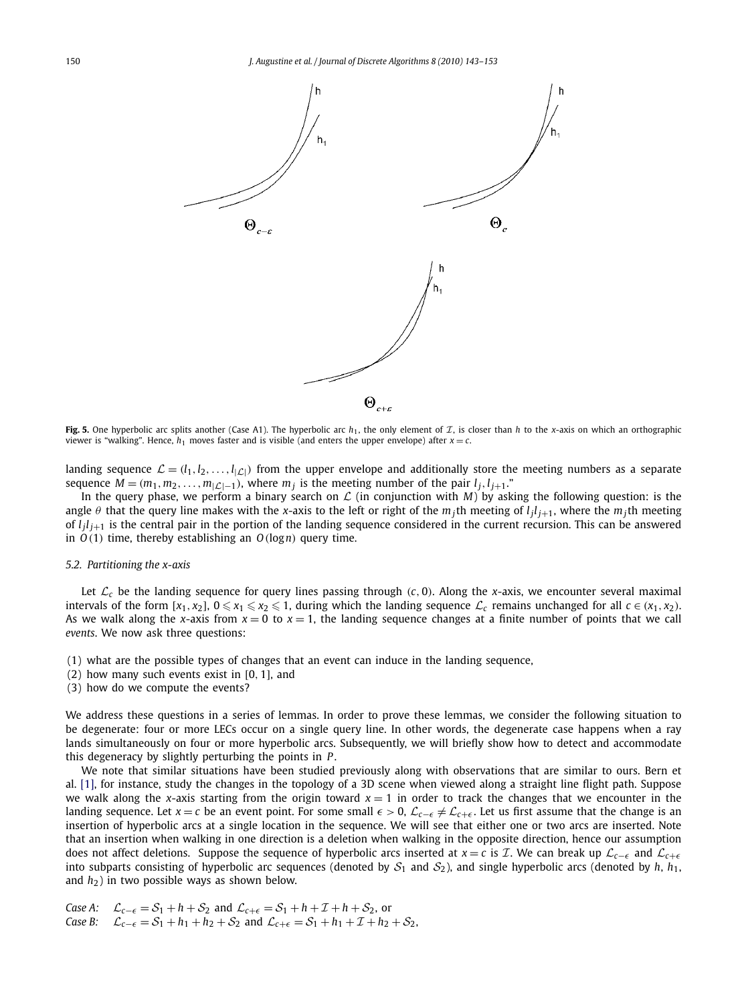<span id="page-7-0"></span>

**Fig. 5.** One hyperbolic arc splits another (Case A1). The hyperbolic arc  $h_1$ , the only element of  $\mathcal{I}$ , is closer than *h* to the *x*-axis on which an orthographic viewer is "walking". Hence,  $h_1$  moves faster and is visible (and enters the upper envelope) after  $x = c$ .

landing sequence  $\mathcal{L} = (l_1, l_2, \ldots, l_{|\mathcal{L}|})$  from the upper envelope and additionally store the meeting numbers as a separate sequence  $M = (m_1, m_2, \ldots, m_{|\mathcal{L}|-1})$ , where  $m_j$  is the meeting number of the pair  $l_j, l_{j+1}$ ."

In the query phase, we perform a binary search on  $\mathcal L$  (in conjunction with *M*) by asking the following question: is the angle  $\theta$  that the query line makes with the *x*-axis to the left or right of the  $m_j$ th meeting of  $l_j l_{j+1}$ , where the  $m_j$ th meeting of *l <sup>j</sup> l <sup>j</sup>*+<sup>1</sup> is the central pair in the portion of the landing sequence considered in the current recursion. This can be answered in *O*(1) time, thereby establishing an *O*(log*n*) query time.

### *5.2. Partitioning the x-axis*

Let  $\mathcal{L}_c$  be the landing sequence for query lines passing through (*c*, 0). Along the *x*-axis, we encounter several maximal intervals of the form  $[x_1, x_2]$ ,  $0 \le x_1 \le x_2 \le 1$ , during which the landing sequence  $\mathcal{L}_c$  remains unchanged for all  $c \in (x_1, x_2)$ . As we walk along the *x*-axis from  $x = 0$  to  $x = 1$ , the landing sequence changes at a finite number of points that we call *events*. We now ask three questions:

- (1) what are the possible types of changes that an event can induce in the landing sequence,
- (2) how many such events exist in [0, 1], and
- (3) how do we compute the events?

We address these questions in a series of lemmas. In order to prove these lemmas, we consider the following situation to be degenerate: four or more LECs occur on a single query line. In other words, the degenerate case happens when a ray lands simultaneously on four or more hyperbolic arcs. Subsequently, we will briefly show how to detect and accommodate this degeneracy by slightly perturbing the points in *P* .

We note that similar situations have been studied previously along with observations that are similar to ours. Bern et al. [\[1\],](#page-10-0) for instance, study the changes in the topology of a 3D scene when viewed along a straight line flight path. Suppose we walk along the *x*-axis starting from the origin toward  $x = 1$  in order to track the changes that we encounter in the landing sequence. Let  $x = c$  be an event point. For some small  $\epsilon > 0$ ,  $\mathcal{L}_{c-\epsilon} \neq \mathcal{L}_{c+\epsilon}$ . Let us first assume that the change is an insertion of hyperbolic arcs at a single location in the sequence. We will see that either one or two arcs are inserted. Note that an insertion when walking in one direction is a deletion when walking in the opposite direction, hence our assumption does not affect deletions. Suppose the sequence of hyperbolic arcs inserted at *x* = *c* is *T*. We can break up  $\mathcal{L}_{c-\epsilon}$  and  $\mathcal{L}_{c+\epsilon}$ into subparts consisting of hyperbolic arc sequences (denoted by  $S_1$  and  $S_2$ ), and single hyperbolic arcs (denoted by *h*,  $h_1$ , and *h*2) in two possible ways as shown below.

Case A: 
$$
\mathcal{L}_{c-\epsilon} = \mathcal{S}_1 + h + \mathcal{S}_2
$$
 and  $\mathcal{L}_{c+\epsilon} = \mathcal{S}_1 + h + \mathcal{I} + h + \mathcal{S}_2$ , or  
Case B:  $\mathcal{L}_{c-\epsilon} = \mathcal{S}_1 + h_1 + h_2 + \mathcal{S}_2$  and  $\mathcal{L}_{c+\epsilon} = \mathcal{S}_1 + h_1 + \mathcal{I} + h_2 + \mathcal{S}_2$ ,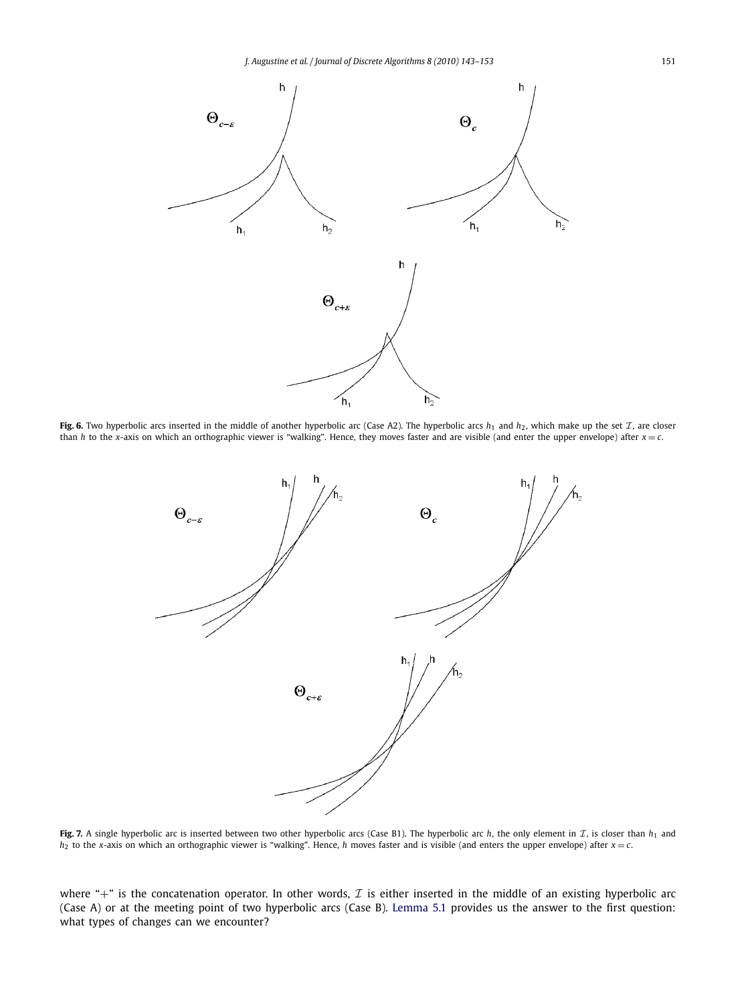<span id="page-8-0"></span>

**Fig. 6.** Two hyperbolic arcs inserted in the middle of another hyperbolic arc (Case A2). The hyperbolic arcs  $h_1$  and  $h_2$ , which make up the set  $\mathcal{I}$ , are closer than *h* to the *x*-axis on which an orthographic viewer is "walking". Hence, they moves faster and are visible (and enter the upper envelope) after  $x = c$ .



**Fig. 7.** A single hyperbolic arc is inserted between two other hyperbolic arcs (Case B1). The hyperbolic arc *h*, the only element in  $\mathcal{I}$ , is closer than  $h_1$  and  $h_2$  to the *x*-axis on which an orthographic viewer is "walking". Hence, *h* moves faster and is visible (and enters the upper envelope) after  $x = c$ .

where "+" is the concatenation operator. In other words,  $\mathcal I$  is either inserted in the middle of an existing hyperbolic arc (Case A) or at the meeting point of two hyperbolic arcs (Case B). [Lemma 5.1](#page-9-0) provides us the answer to the first question: what types of changes can we encounter?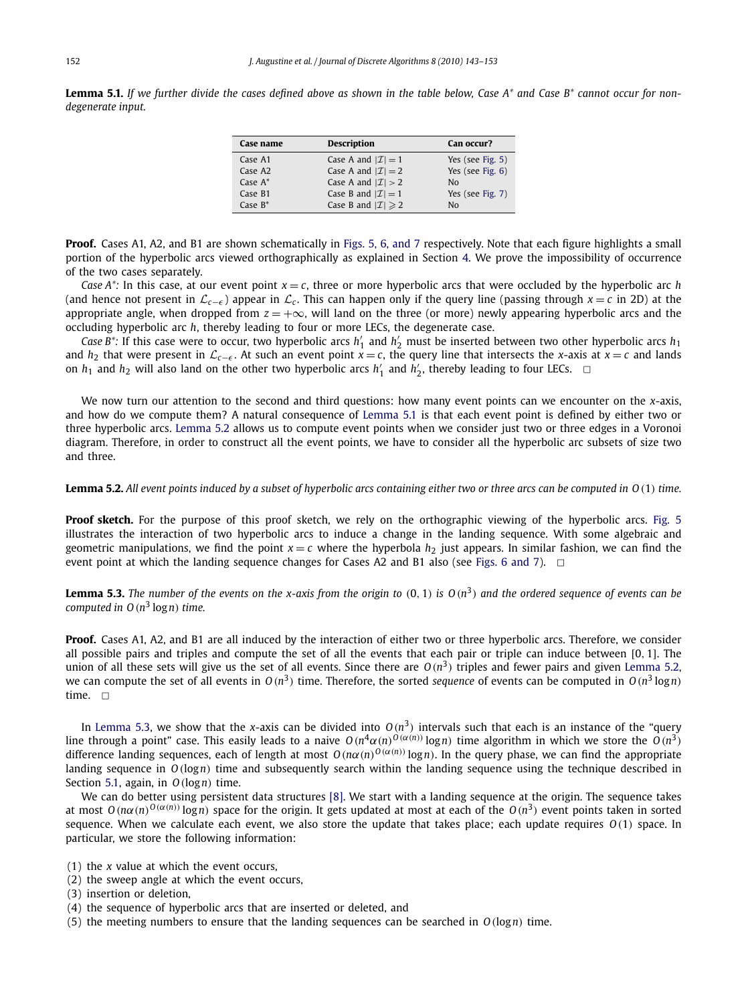<span id="page-9-0"></span>**Lemma 5.1.** *If we further divide the cases defined above as shown in the table below, Case A\* and Case B\* cannot occur for nondegenerate input.*

| Case name           | <b>Description</b>                | Can occur?       |
|---------------------|-----------------------------------|------------------|
| Case A1             | Case A and $ \mathcal{I}  = 1$    | Yes (see Fig. 5) |
| Case A <sub>2</sub> | Case A and $ \mathcal{I}  = 2$    | Yes (see Fig. 6) |
| Case $A^*$          | Case A and $ \mathcal{I}  > 2$    | Nο               |
| Case B1             | Case B and $ \mathcal{I}  = 1$    | Yes (see Fig. 7) |
| Case $B^*$          | Case B and $ \mathcal{I}  \geq 2$ | Nο               |

**Proof.** Cases A1, A2, and B1 are shown schematically in [Figs. 5, 6, and 7](#page-7-0) respectively. Note that each figure highlights a small portion of the hyperbolic arcs viewed orthographically as explained in Section [4.](#page-4-0) We prove the impossibility of occurrence of the two cases separately.

*Case A\**: In this case, at our event point  $x = c$ , three or more hyperbolic arcs that were occluded by the hyperbolic arc *h* (and hence not present in L*c*−<sup>ǫ</sup> ) appear in L*<sup>c</sup>* . This can happen only if the query line (passing through *<sup>x</sup>* = *<sup>c</sup>* in 2D) at the appropriate angle, when dropped from  $z = +\infty$ , will land on the three (or more) newly appearing hyperbolic arcs and the occluding hyperbolic arc *h*, thereby leading to four or more LECs, the degenerate case.

*Case B*<sup>\*</sup>: If this case were to occur, two hyperbolic arcs  $h'_1$  and  $h'_2$  must be inserted between two other hyperbolic arcs  $h_1$ and *h*<sub>2</sub> that were present in  $\mathcal{L}_{c-\epsilon}$ . At such an event point  $x = c$ , the query line that intersects the *x*-axis at  $x = c$  and lands on  $h_1$  and  $h_2$  will also land on the other two hyperbolic arcs  $h'_1$  and  $h'_2$ , thereby leading to four LECs.  $\Box$ 

We now turn our attention to the second and third questions: how many event points can we encounter on the *x*-axis, and how do we compute them? A natural consequence of Lemma 5.1 is that each event point is defined by either two or three hyperbolic arcs. Lemma 5.2 allows us to compute event points when we consider just two or three edges in a Voronoi diagram. Therefore, in order to construct all the event points, we have to consider all the hyperbolic arc subsets of size two and three.

# **Lemma 5.2.** *All event points induced by a subset of hyperbolic arcs containing either two or three arcs can be computed in O*(1) *time.*

Proof sketch. For the purpose of this proof sketch, we rely on the orthographic viewing of the hyperbolic arcs. [Fig. 5](#page-7-0) illustrates the interaction of two hyperbolic arcs to induce a change in the landing sequence. With some algebraic and geometric manipulations, we find the point  $x = c$  where the hyperbola  $h_2$  just appears. In similar fashion, we can find the event point at which the landing sequence changes for Cases A2 and B1 also (see [Figs. 6 and 7\)](#page-8-0).  $\Box$ 

**Lemma 5.3.** The number of the events on the x-axis from the origin to  $(0,1)$  is  $O(n^3)$  and the ordered sequence of events can be *computed in O*(*n* 3 log*n*) *time.*

**Proof.** Cases A1, A2, and B1 are all induced by the interaction of either two or three hyperbolic arcs. Therefore, we consider all possible pairs and triples and compute the set of all the events that each pair or triple can induce between [0, 1]. The union of all these sets will give us the set of all events. Since there are  $O(n^3)$  triples and fewer pairs and given Lemma 5.2, we can compute the set of all events in  $O(n^3)$  time. Therefore, the sorted *sequence* of events can be computed in  $O(n^3 \log n)$ time.  $\Box$ 

In Lemma 5.3, we show that the *x*-axis can be divided into  $O(n^3)$  intervals such that each is an instance of the "query line through a point" case. This easily leads to a naive  $O(n^4\alpha(n)^{O(\alpha(n))}\log n)$  time algorithm in which we store the  $O(n^3)$ difference landing sequences, each of length at most  $O(nα(n)^{O(α(n))} \log n)$ . In the query phase, we can find the appropriate landing sequence in *O*(log*n*) time and subsequently search within the landing sequence using the technique described in Section [5.1,](#page-6-0) again, in *O*(log*n*) time.

We can do better using persistent data structures [\[8\].](#page-10-0) We start with a landing sequence at the origin. The sequence takes at most  $O(n\alpha(n)^{O(\alpha(n))}\log n)$  space for the origin. It gets updated at most at each of the  $O(n^3)$  event points taken in sorted sequence. When we calculate each event, we also store the update that takes place; each update requires *O*(1) space. In particular, we store the following information:

- (1) the *x* value at which the event occurs,
- (2) the sweep angle at which the event occurs,
- (3) insertion or deletion,
- (4) the sequence of hyperbolic arcs that are inserted or deleted, and
- (5) the meeting numbers to ensure that the landing sequences can be searched in  $O(log n)$  time.